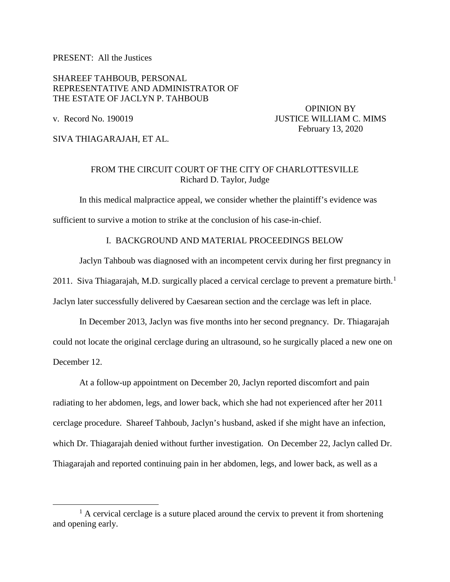PRESENT: All the Justices

SHAREEF TAHBOUB, PERSONAL REPRESENTATIVE AND ADMINISTRATOR OF THE ESTATE OF JACLYN P. TAHBOUB

 OPINION BY v. Record No. 190019 **JUSTICE WILLIAM C. MIMS** February 13, 2020

SIVA THIAGARAJAH, ET AL.

# FROM THE CIRCUIT COURT OF THE CITY OF CHARLOTTESVILLE Richard D. Taylor, Judge

In this medical malpractice appeal, we consider whether the plaintiff's evidence was sufficient to survive a motion to strike at the conclusion of his case-in-chief.

## I. BACKGROUND AND MATERIAL PROCEEDINGS BELOW

Jaclyn Tahboub was diagnosed with an incompetent cervix during her first pregnancy in 20[1](#page-0-0)1. Siva Thiagarajah, M.D. surgically placed a cervical cerclage to prevent a premature birth.<sup>1</sup> Jaclyn later successfully delivered by Caesarean section and the cerclage was left in place.

In December 2013, Jaclyn was five months into her second pregnancy. Dr. Thiagarajah could not locate the original cerclage during an ultrasound, so he surgically placed a new one on December 12.

At a follow-up appointment on December 20, Jaclyn reported discomfort and pain radiating to her abdomen, legs, and lower back, which she had not experienced after her 2011 cerclage procedure. Shareef Tahboub, Jaclyn's husband, asked if she might have an infection, which Dr. Thiagarajah denied without further investigation. On December 22, Jaclyn called Dr. Thiagarajah and reported continuing pain in her abdomen, legs, and lower back, as well as a

<span id="page-0-0"></span><sup>&</sup>lt;u>1</u>  $^{1}$  A cervical cerclage is a suture placed around the cervix to prevent it from shortening and opening early.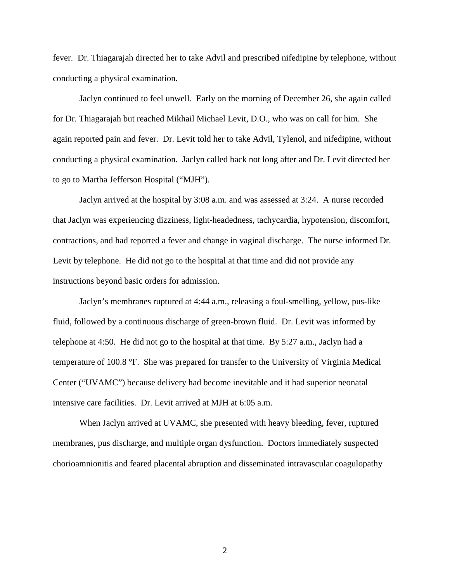fever. Dr. Thiagarajah directed her to take Advil and prescribed nifedipine by telephone, without conducting a physical examination.

Jaclyn continued to feel unwell. Early on the morning of December 26, she again called for Dr. Thiagarajah but reached Mikhail Michael Levit, D.O., who was on call for him. She again reported pain and fever. Dr. Levit told her to take Advil, Tylenol, and nifedipine, without conducting a physical examination. Jaclyn called back not long after and Dr. Levit directed her to go to Martha Jefferson Hospital ("MJH").

Jaclyn arrived at the hospital by 3:08 a.m. and was assessed at 3:24. A nurse recorded that Jaclyn was experiencing dizziness, light-headedness, tachycardia, hypotension, discomfort, contractions, and had reported a fever and change in vaginal discharge. The nurse informed Dr. Levit by telephone. He did not go to the hospital at that time and did not provide any instructions beyond basic orders for admission.

Jaclyn's membranes ruptured at 4:44 a.m., releasing a foul-smelling, yellow, pus-like fluid, followed by a continuous discharge of green-brown fluid. Dr. Levit was informed by telephone at 4:50. He did not go to the hospital at that time. By 5:27 a.m., Jaclyn had a temperature of 100.8 °F. She was prepared for transfer to the University of Virginia Medical Center ("UVAMC") because delivery had become inevitable and it had superior neonatal intensive care facilities. Dr. Levit arrived at MJH at 6:05 a.m.

When Jaclyn arrived at UVAMC, she presented with heavy bleeding, fever, ruptured membranes, pus discharge, and multiple organ dysfunction. Doctors immediately suspected chorioamnionitis and feared placental abruption and disseminated intravascular coagulopathy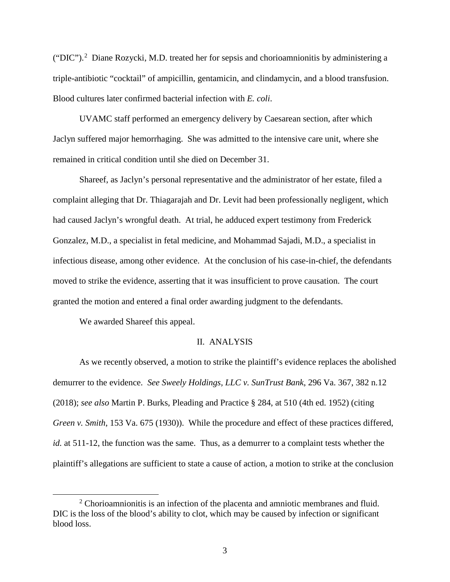("DIC").<sup>[2](#page-2-0)</sup> Diane Rozycki, M.D. treated her for sepsis and chorioamnionitis by administering a triple-antibiotic "cocktail" of ampicillin, gentamicin, and clindamycin, and a blood transfusion. Blood cultures later confirmed bacterial infection with *E. coli*.

UVAMC staff performed an emergency delivery by Caesarean section, after which Jaclyn suffered major hemorrhaging. She was admitted to the intensive care unit, where she remained in critical condition until she died on December 31.

Shareef, as Jaclyn's personal representative and the administrator of her estate, filed a complaint alleging that Dr. Thiagarajah and Dr. Levit had been professionally negligent, which had caused Jaclyn's wrongful death. At trial, he adduced expert testimony from Frederick Gonzalez, M.D., a specialist in fetal medicine, and Mohammad Sajadi, M.D., a specialist in infectious disease, among other evidence. At the conclusion of his case-in-chief, the defendants moved to strike the evidence, asserting that it was insufficient to prove causation. The court granted the motion and entered a final order awarding judgment to the defendants.

We awarded Shareef this appeal.

### II. ANALYSIS

As we recently observed, a motion to strike the plaintiff's evidence replaces the abolished demurrer to the evidence. *See Sweely Holdings, LLC v. SunTrust Bank*, 296 Va. 367, 382 n.12 (2018); *see also* Martin P. Burks, Pleading and Practice § 284, at 510 (4th ed. 1952) (citing *Green v. Smith*, 153 Va. 675 (1930)). While the procedure and effect of these practices differed, *id.* at 511-12, the function was the same. Thus, as a demurrer to a complaint tests whether the plaintiff's allegations are sufficient to state a cause of action, a motion to strike at the conclusion

<span id="page-2-0"></span> <sup>2</sup> <sup>2</sup> Chorioamnionitis is an infection of the placenta and amniotic membranes and fluid. DIC is the loss of the blood's ability to clot, which may be caused by infection or significant blood loss.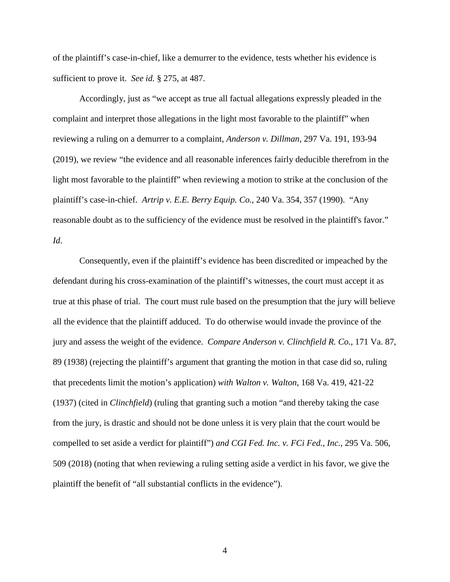of the plaintiff's case-in-chief, like a demurrer to the evidence, tests whether his evidence is sufficient to prove it. *See id.* § 275, at 487.

Accordingly, just as "we accept as true all factual allegations expressly pleaded in the complaint and interpret those allegations in the light most favorable to the plaintiff" when reviewing a ruling on a demurrer to a complaint, *Anderson v. Dillman*, 297 Va. 191, 193-94 (2019), we review "the evidence and all reasonable inferences fairly deducible therefrom in the light most favorable to the plaintiff" when reviewing a motion to strike at the conclusion of the plaintiff's case-in-chief. *Artrip v. E.E. Berry Equip. Co.*, 240 Va. 354, 357 (1990). "Any reasonable doubt as to the sufficiency of the evidence must be resolved in the plaintiff's favor." *Id*.

Consequently, even if the plaintiff's evidence has been discredited or impeached by the defendant during his cross-examination of the plaintiff's witnesses, the court must accept it as true at this phase of trial. The court must rule based on the presumption that the jury will believe all the evidence that the plaintiff adduced. To do otherwise would invade the province of the jury and assess the weight of the evidence. *Compare Anderson v. Clinchfield R. Co.*, 171 Va. 87, 89 (1938) (rejecting the plaintiff's argument that granting the motion in that case did so, ruling that precedents limit the motion's application) *with Walton v. Walton*, 168 Va. 419, 421-22 (1937) (cited in *Clinchfield*) (ruling that granting such a motion "and thereby taking the case from the jury, is drastic and should not be done unless it is very plain that the court would be compelled to set aside a verdict for plaintiff") *and CGI Fed. Inc. v. FCi Fed., Inc.*, 295 Va. 506, 509 (2018) (noting that when reviewing a ruling setting aside a verdict in his favor, we give the plaintiff the benefit of "all substantial conflicts in the evidence").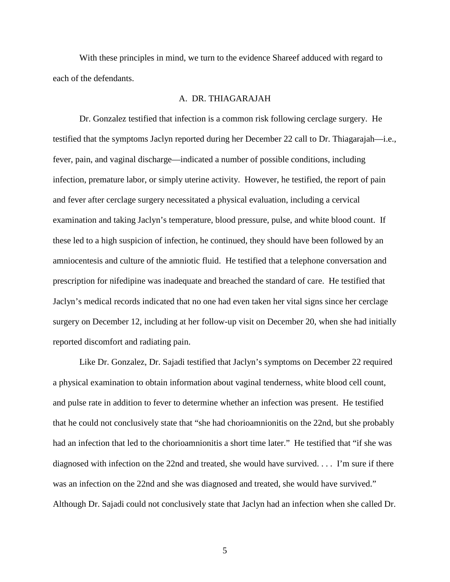With these principles in mind, we turn to the evidence Shareef adduced with regard to each of the defendants.

### A. DR. THIAGARAJAH

Dr. Gonzalez testified that infection is a common risk following cerclage surgery. He testified that the symptoms Jaclyn reported during her December 22 call to Dr. Thiagarajah—i.e., fever, pain, and vaginal discharge—indicated a number of possible conditions, including infection, premature labor, or simply uterine activity. However, he testified, the report of pain and fever after cerclage surgery necessitated a physical evaluation, including a cervical examination and taking Jaclyn's temperature, blood pressure, pulse, and white blood count. If these led to a high suspicion of infection, he continued, they should have been followed by an amniocentesis and culture of the amniotic fluid. He testified that a telephone conversation and prescription for nifedipine was inadequate and breached the standard of care. He testified that Jaclyn's medical records indicated that no one had even taken her vital signs since her cerclage surgery on December 12, including at her follow-up visit on December 20, when she had initially reported discomfort and radiating pain.

Like Dr. Gonzalez, Dr. Sajadi testified that Jaclyn's symptoms on December 22 required a physical examination to obtain information about vaginal tenderness, white blood cell count, and pulse rate in addition to fever to determine whether an infection was present. He testified that he could not conclusively state that "she had chorioamnionitis on the 22nd, but she probably had an infection that led to the chorioamnionitis a short time later." He testified that "if she was diagnosed with infection on the 22nd and treated, she would have survived. . . . I'm sure if there was an infection on the 22nd and she was diagnosed and treated, she would have survived." Although Dr. Sajadi could not conclusively state that Jaclyn had an infection when she called Dr.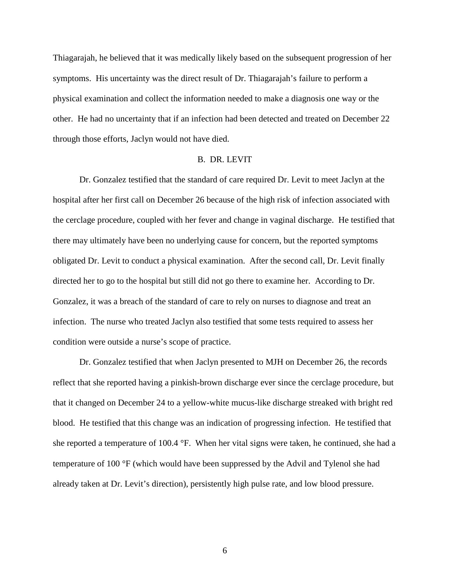Thiagarajah, he believed that it was medically likely based on the subsequent progression of her symptoms. His uncertainty was the direct result of Dr. Thiagarajah's failure to perform a physical examination and collect the information needed to make a diagnosis one way or the other. He had no uncertainty that if an infection had been detected and treated on December 22 through those efforts, Jaclyn would not have died.

#### B. DR. LEVIT

Dr. Gonzalez testified that the standard of care required Dr. Levit to meet Jaclyn at the hospital after her first call on December 26 because of the high risk of infection associated with the cerclage procedure, coupled with her fever and change in vaginal discharge. He testified that there may ultimately have been no underlying cause for concern, but the reported symptoms obligated Dr. Levit to conduct a physical examination. After the second call, Dr. Levit finally directed her to go to the hospital but still did not go there to examine her. According to Dr. Gonzalez, it was a breach of the standard of care to rely on nurses to diagnose and treat an infection. The nurse who treated Jaclyn also testified that some tests required to assess her condition were outside a nurse's scope of practice.

Dr. Gonzalez testified that when Jaclyn presented to MJH on December 26, the records reflect that she reported having a pinkish-brown discharge ever since the cerclage procedure, but that it changed on December 24 to a yellow-white mucus-like discharge streaked with bright red blood. He testified that this change was an indication of progressing infection. He testified that she reported a temperature of 100.4 °F. When her vital signs were taken, he continued, she had a temperature of 100 °F (which would have been suppressed by the Advil and Tylenol she had already taken at Dr. Levit's direction), persistently high pulse rate, and low blood pressure.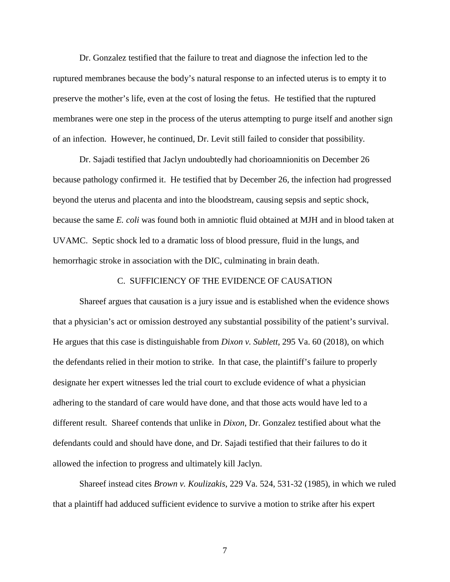Dr. Gonzalez testified that the failure to treat and diagnose the infection led to the ruptured membranes because the body's natural response to an infected uterus is to empty it to preserve the mother's life, even at the cost of losing the fetus. He testified that the ruptured membranes were one step in the process of the uterus attempting to purge itself and another sign of an infection. However, he continued, Dr. Levit still failed to consider that possibility.

Dr. Sajadi testified that Jaclyn undoubtedly had chorioamnionitis on December 26 because pathology confirmed it. He testified that by December 26, the infection had progressed beyond the uterus and placenta and into the bloodstream, causing sepsis and septic shock, because the same *E. coli* was found both in amniotic fluid obtained at MJH and in blood taken at UVAMC. Septic shock led to a dramatic loss of blood pressure, fluid in the lungs, and hemorrhagic stroke in association with the DIC, culminating in brain death.

### C. SUFFICIENCY OF THE EVIDENCE OF CAUSATION

Shareef argues that causation is a jury issue and is established when the evidence shows that a physician's act or omission destroyed any substantial possibility of the patient's survival. He argues that this case is distinguishable from *Dixon v. Sublett*, 295 Va. 60 (2018), on which the defendants relied in their motion to strike. In that case, the plaintiff's failure to properly designate her expert witnesses led the trial court to exclude evidence of what a physician adhering to the standard of care would have done, and that those acts would have led to a different result. Shareef contends that unlike in *Dixon*, Dr. Gonzalez testified about what the defendants could and should have done, and Dr. Sajadi testified that their failures to do it allowed the infection to progress and ultimately kill Jaclyn.

Shareef instead cites *Brown v. Koulizakis*, 229 Va. 524, 531-32 (1985), in which we ruled that a plaintiff had adduced sufficient evidence to survive a motion to strike after his expert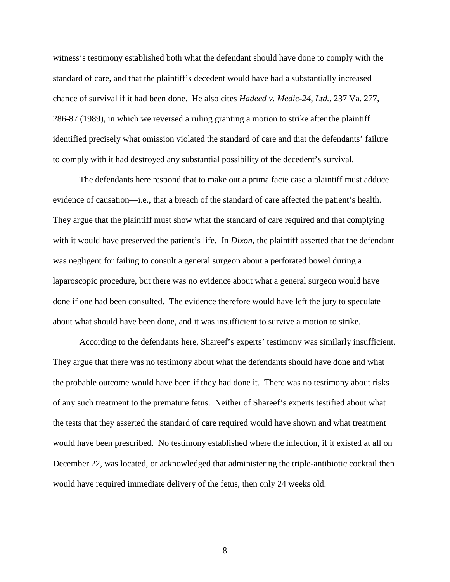witness's testimony established both what the defendant should have done to comply with the standard of care, and that the plaintiff's decedent would have had a substantially increased chance of survival if it had been done. He also cites *Hadeed v. Medic-24, Ltd.*, 237 Va. 277, 286-87 (1989), in which we reversed a ruling granting a motion to strike after the plaintiff identified precisely what omission violated the standard of care and that the defendants' failure to comply with it had destroyed any substantial possibility of the decedent's survival.

The defendants here respond that to make out a prima facie case a plaintiff must adduce evidence of causation—i.e., that a breach of the standard of care affected the patient's health. They argue that the plaintiff must show what the standard of care required and that complying with it would have preserved the patient's life. In *Dixon*, the plaintiff asserted that the defendant was negligent for failing to consult a general surgeon about a perforated bowel during a laparoscopic procedure, but there was no evidence about what a general surgeon would have done if one had been consulted. The evidence therefore would have left the jury to speculate about what should have been done, and it was insufficient to survive a motion to strike.

According to the defendants here, Shareef's experts' testimony was similarly insufficient. They argue that there was no testimony about what the defendants should have done and what the probable outcome would have been if they had done it. There was no testimony about risks of any such treatment to the premature fetus. Neither of Shareef's experts testified about what the tests that they asserted the standard of care required would have shown and what treatment would have been prescribed. No testimony established where the infection, if it existed at all on December 22, was located, or acknowledged that administering the triple-antibiotic cocktail then would have required immediate delivery of the fetus, then only 24 weeks old.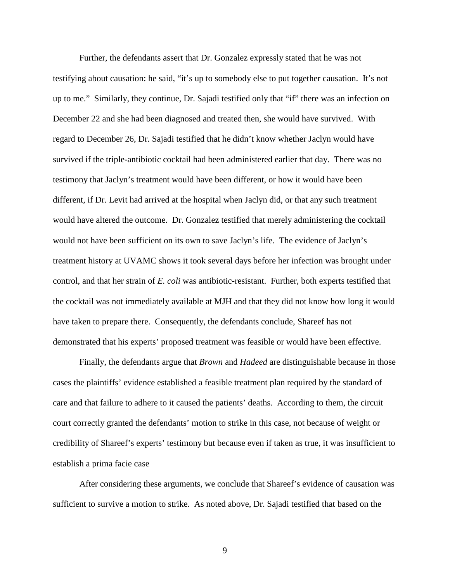Further, the defendants assert that Dr. Gonzalez expressly stated that he was not testifying about causation: he said, "it's up to somebody else to put together causation. It's not up to me." Similarly, they continue, Dr. Sajadi testified only that "if" there was an infection on December 22 and she had been diagnosed and treated then, she would have survived. With regard to December 26, Dr. Sajadi testified that he didn't know whether Jaclyn would have survived if the triple-antibiotic cocktail had been administered earlier that day. There was no testimony that Jaclyn's treatment would have been different, or how it would have been different, if Dr. Levit had arrived at the hospital when Jaclyn did, or that any such treatment would have altered the outcome. Dr. Gonzalez testified that merely administering the cocktail would not have been sufficient on its own to save Jaclyn's life. The evidence of Jaclyn's treatment history at UVAMC shows it took several days before her infection was brought under control, and that her strain of *E. coli* was antibiotic-resistant. Further, both experts testified that the cocktail was not immediately available at MJH and that they did not know how long it would have taken to prepare there. Consequently, the defendants conclude, Shareef has not demonstrated that his experts' proposed treatment was feasible or would have been effective.

Finally, the defendants argue that *Brown* and *Hadeed* are distinguishable because in those cases the plaintiffs' evidence established a feasible treatment plan required by the standard of care and that failure to adhere to it caused the patients' deaths. According to them, the circuit court correctly granted the defendants' motion to strike in this case, not because of weight or credibility of Shareef's experts' testimony but because even if taken as true, it was insufficient to establish a prima facie case

After considering these arguments, we conclude that Shareef's evidence of causation was sufficient to survive a motion to strike. As noted above, Dr. Sajadi testified that based on the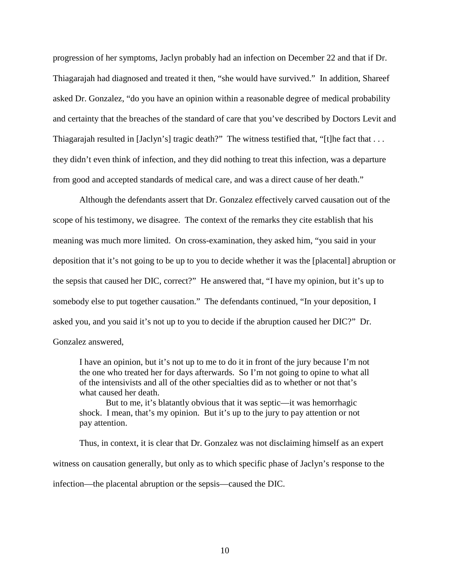progression of her symptoms, Jaclyn probably had an infection on December 22 and that if Dr. Thiagarajah had diagnosed and treated it then, "she would have survived." In addition, Shareef asked Dr. Gonzalez, "do you have an opinion within a reasonable degree of medical probability and certainty that the breaches of the standard of care that you've described by Doctors Levit and Thiagarajah resulted in [Jaclyn's] tragic death?" The witness testified that, "[t]he fact that . . . they didn't even think of infection, and they did nothing to treat this infection, was a departure from good and accepted standards of medical care, and was a direct cause of her death."

Although the defendants assert that Dr. Gonzalez effectively carved causation out of the scope of his testimony, we disagree. The context of the remarks they cite establish that his meaning was much more limited. On cross-examination, they asked him, "you said in your deposition that it's not going to be up to you to decide whether it was the [placental] abruption or the sepsis that caused her DIC, correct?" He answered that, "I have my opinion, but it's up to somebody else to put together causation." The defendants continued, "In your deposition, I asked you, and you said it's not up to you to decide if the abruption caused her DIC?" Dr. Gonzalez answered,

I have an opinion, but it's not up to me to do it in front of the jury because I'm not the one who treated her for days afterwards. So I'm not going to opine to what all of the intensivists and all of the other specialties did as to whether or not that's what caused her death.

But to me, it's blatantly obvious that it was septic—it was hemorrhagic shock. I mean, that's my opinion. But it's up to the jury to pay attention or not pay attention.

Thus, in context, it is clear that Dr. Gonzalez was not disclaiming himself as an expert witness on causation generally, but only as to which specific phase of Jaclyn's response to the infection—the placental abruption or the sepsis—caused the DIC.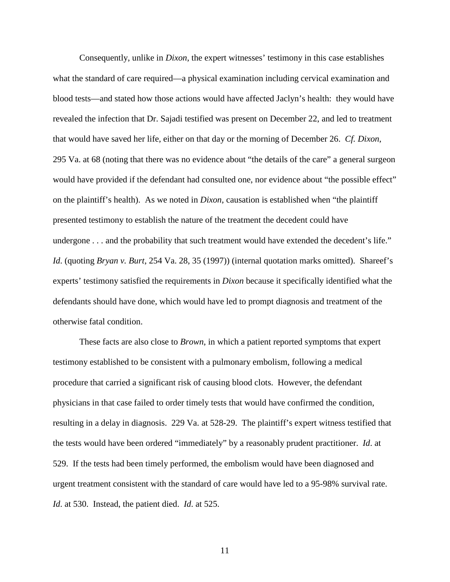Consequently, unlike in *Dixon*, the expert witnesses' testimony in this case establishes what the standard of care required—a physical examination including cervical examination and blood tests—and stated how those actions would have affected Jaclyn's health: they would have revealed the infection that Dr. Sajadi testified was present on December 22, and led to treatment that would have saved her life, either on that day or the morning of December 26. *Cf. Dixon*, 295 Va. at 68 (noting that there was no evidence about "the details of the care" a general surgeon would have provided if the defendant had consulted one, nor evidence about "the possible effect" on the plaintiff's health). As we noted in *Dixon*, causation is established when "the plaintiff presented testimony to establish the nature of the treatment the decedent could have undergone . . . and the probability that such treatment would have extended the decedent's life." *Id*. (quoting *Bryan v. Burt*, 254 Va. 28, 35 (1997)) (internal quotation marks omitted). Shareef's experts' testimony satisfied the requirements in *Dixon* because it specifically identified what the defendants should have done, which would have led to prompt diagnosis and treatment of the otherwise fatal condition.

These facts are also close to *Brown*, in which a patient reported symptoms that expert testimony established to be consistent with a pulmonary embolism, following a medical procedure that carried a significant risk of causing blood clots. However, the defendant physicians in that case failed to order timely tests that would have confirmed the condition, resulting in a delay in diagnosis. 229 Va. at 528-29. The plaintiff's expert witness testified that the tests would have been ordered "immediately" by a reasonably prudent practitioner. *Id*. at 529. If the tests had been timely performed, the embolism would have been diagnosed and urgent treatment consistent with the standard of care would have led to a 95-98% survival rate. *Id*. at 530. Instead, the patient died. *Id*. at 525.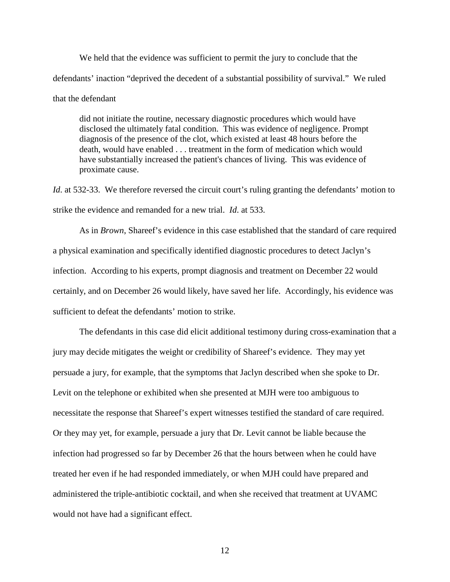We held that the evidence was sufficient to permit the jury to conclude that the defendants' inaction "deprived the decedent of a substantial possibility of survival." We ruled that the defendant

did not initiate the routine, necessary diagnostic procedures which would have disclosed the ultimately fatal condition. This was evidence of negligence. Prompt diagnosis of the presence of the clot, which existed at least 48 hours before the death, would have enabled . . . treatment in the form of medication which would have substantially increased the patient's chances of living. This was evidence of proximate cause.

*Id.* at 532-33. We therefore reversed the circuit court's ruling granting the defendants' motion to strike the evidence and remanded for a new trial. *Id*. at 533.

As in *Brown*, Shareef's evidence in this case established that the standard of care required a physical examination and specifically identified diagnostic procedures to detect Jaclyn's infection. According to his experts, prompt diagnosis and treatment on December 22 would certainly, and on December 26 would likely, have saved her life. Accordingly, his evidence was sufficient to defeat the defendants' motion to strike.

The defendants in this case did elicit additional testimony during cross-examination that a jury may decide mitigates the weight or credibility of Shareef's evidence. They may yet persuade a jury, for example, that the symptoms that Jaclyn described when she spoke to Dr. Levit on the telephone or exhibited when she presented at MJH were too ambiguous to necessitate the response that Shareef's expert witnesses testified the standard of care required. Or they may yet, for example, persuade a jury that Dr. Levit cannot be liable because the infection had progressed so far by December 26 that the hours between when he could have treated her even if he had responded immediately, or when MJH could have prepared and administered the triple-antibiotic cocktail, and when she received that treatment at UVAMC would not have had a significant effect.